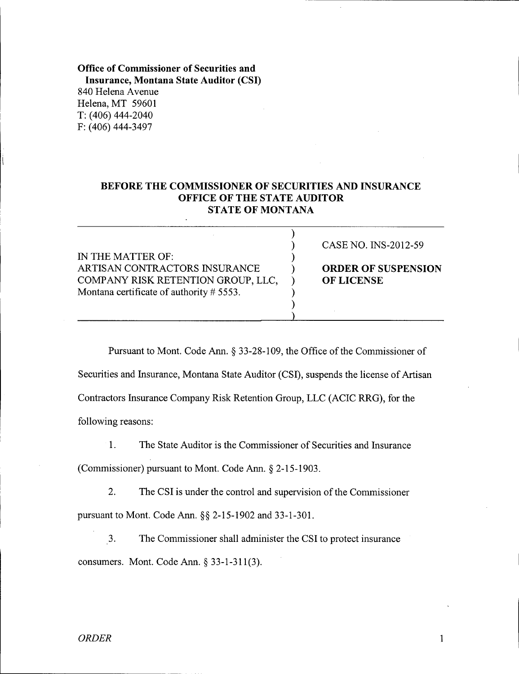## Office of Commissioner of Securities and Insurance, Montana State Auditor (CSI) 840 Helena Avenue Helena, MT 59601 T: (406) 444-2040 F: (406) 444-3497

## BEFORE THE COMMISSIONER OF SECURITIES AND INSURANCE OFFICE OF THE STATE AUDITOR **STATE OF MONTANA**

|                                          | CASE NO. INS-2012-59       |
|------------------------------------------|----------------------------|
| IN THE MATTER OF:                        |                            |
| ARTISAN CONTRACTORS INSURANCE            | <b>ORDER OF SUSPENSION</b> |
| COMPANY RISK RETENTION GROUP, LLC,       | <b>OF LICENSE</b>          |
| Montana certificate of authority # 5553. |                            |
|                                          |                            |
|                                          |                            |

Pursuant to Mont. Code Ann. § 33-28-109, the Office of the Commissioner of Securities and Insurance, Montana State Auditor (CSI), suspends the license of Artisan Contractors Insurance Company Risk Retention Group, LLC (ACIC RRG), for the following reasons:

1. The State Auditor is the Commissioner of Securities and Insurance

(Commissioner) pursuant to Mont. Code Ann.  $\S$  2-15-1903.

2. The CSI is under the control and supervision of the Commissioner pursuant to Mont. Code Ann.  $\S$ § 2-15-1902 and 33-1-301.

3. The Commissioner shall administer the CSI to protect insurance consumers. Mont. Code Ann.  $\S$  33-1-311(3).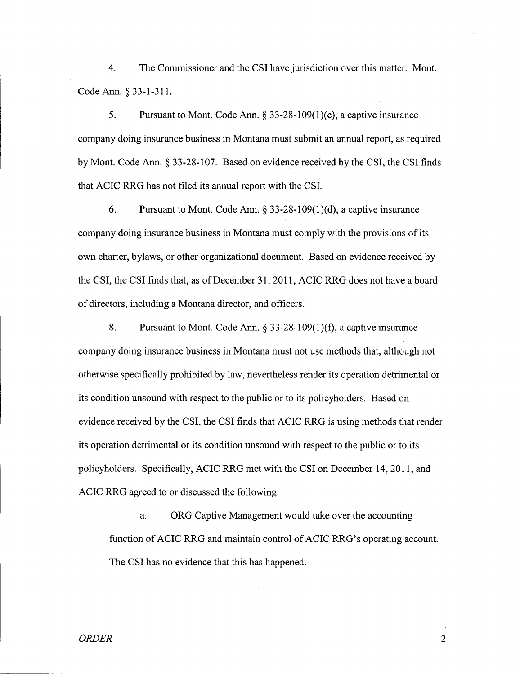4. The Commissioner and the CSI have jurisdiction over this matter. Mont. Code Ann. S 33-1-311.

5. Pursuant to Mont. Code Ann. S 33-28-109(1)(c), a captive insurance company doing insurance business in Montana must submit an annual report, as required by Mont. Code Ann. S 33-28-107. Based on evidence received by the CSI, the CSI finds that ACIC RRG has not filed its annual report with the CSI.

6. Pursuant to Mont. Code Ann.  $\S 33-28-109(1)(d)$ , a captive insurance company doing insurance business in Montana must comply with the provisions of its own charter, bylaws, or other organizational document. Based on evidence received by the CSI, the CSI finds that, as of December 31, 2011, ACIC RRG does not have a board of directors, including a Montana director, and officers.

8. Pursuant to Mont. Code Ann.  $\S 33-28-109(1)(f)$ , a captive insurance company doing insurance business in Montana must not use methods that, although not otherwise specifically prohibited by law, nevertheless render its operation detrimental or its condition unsound with respect to the public or to its policyholders. Based on evidence received by the CSI, the CSI finds that ACIC RRG is using methods that render its operation detrimental or its condition unsound with respect to the public or to its policyholders. Specifically, ACIC RRG met with the CSI on December 14,2011, and ACIC RRG agreed to or discussed the following:

a. ORG Captive Management would take over the accounting function of ACIC RRG and maintain control of ACIC RRG's operating account. The CSI has no evidence that this has happened.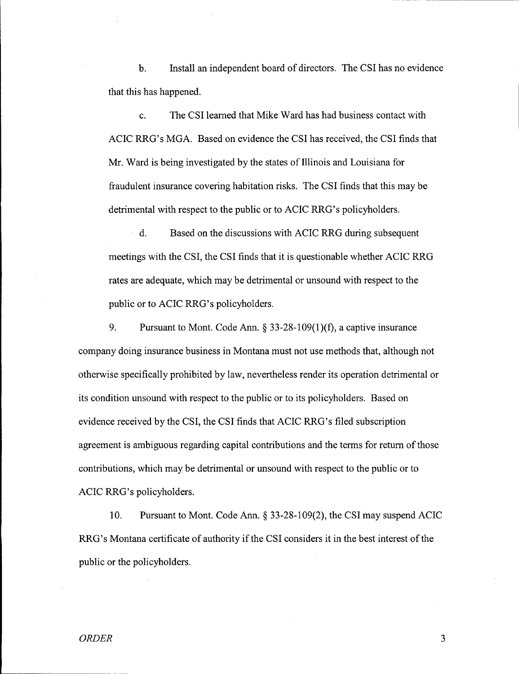b. Install an independent board of directors. The CSI has no evidence that this has happened.

c. The CSI learned that Mike Ward has had business contact with ACIC RRG's MGA. Based on evidence the CSI has received, the CSI finds that Mr. Ward is being investigated by the states of Illinois and Louisiana for fraudulent insurance covering habitation risks. The CSI finds that this may be detrimental with respect to the public or to ACIC RRG's policyholders.

d. Based on the discussions with ACIC RRG during subsequent meetings with the CSI, the CSI finds that it is questionable whether ACIC RRG rates are adequate, which may be detrimental or unsound with respect to the public or to ACIC RRG's policyholders.

9. Pursuant to Mont. Code Ann.  $\S$  33-28-109(1)(f), a captive insurance company doing insurance business in Montana must not use methods that, although not otherwise specifically prohibited by law, nevertheless render its operation detrimental or its condition unsound with respect to the public or to its policyholders. Based on evidence received by the CSI, the CSI finds that ACIC RRG's filed subscription agreement is ambiguous regarding capital contributions and the terms for return of those contributions, which may be detrimental or unsound with respect to the public or to ACIC RRG's policyholders.

10. Pursuant to Mont. Code Ann. § 33-28-109(2), the CSI may suspend ACIC RRG's Montana certificate of authority if the CSI considers it in the best interest of the public or the policyholders.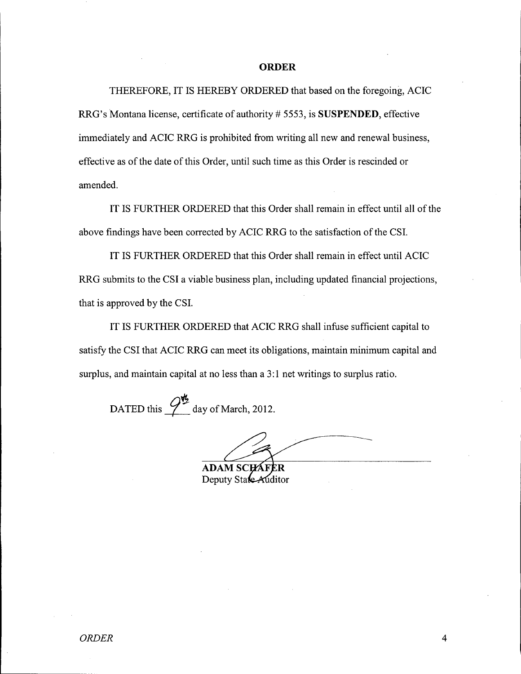## **ORDER**

THEREFORE, IT IS HEREBY ORDERED that based on the foregoing, ACIC RRG's Montana license, certificate of authority # 5553, is **SUSPENDED,** effective immediately and ACIC RRG is prohibited from writing all new and renewal business, effective as of the date of this Order, until such time as this Order is rescinded or amended.

IT IS FURTHER ORDERED that this Order shall remain in effect until all of the above findings have been corrected by ACIC RRG to the satisfaction of the CSI.

IT IS FURTHER ORDERED that this Order shall remain in effect until ACIC RRG submits to the CSI a viable business plan, including updated financial projections, that is approved by the CSI.

IT IS FURTHER ORDERED that ACIC RRG shall infuse sufficient capital to satisfy the CSI that ACIC RRG can meet its obligations, maintain minimum capital and surplus, and maintain capital at no less than a 3:1 net writings to surplus ratio.

DATED this  $\mathcal{P}^{\mathbf{t}_2}$  day of March, 2012

**ADAM SCHAFER** 

Deputy State Auditor